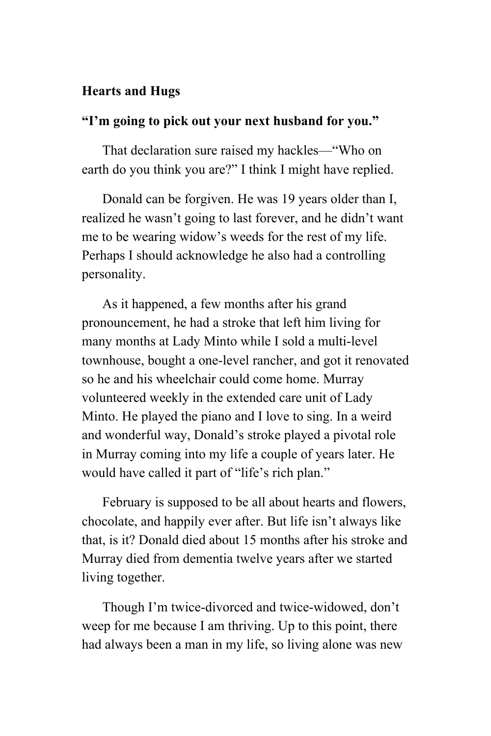## **Hearts and Hugs**

## **"I'm going to pick out your next husband for you."**

That declaration sure raised my hackles—"Who on earth do you think you are?" I think I might have replied.

Donald can be forgiven. He was 19 years older than I, realized he wasn't going to last forever, and he didn't want me to be wearing widow's weeds for the rest of my life. Perhaps I should acknowledge he also had a controlling personality.

As it happened, a few months after his grand pronouncement, he had a stroke that left him living for many months at Lady Minto while I sold a multi-level townhouse, bought a one-level rancher, and got it renovated so he and his wheelchair could come home. Murray volunteered weekly in the extended care unit of Lady Minto. He played the piano and I love to sing. In a weird and wonderful way, Donald's stroke played a pivotal role in Murray coming into my life a couple of years later. He would have called it part of "life's rich plan."

February is supposed to be all about hearts and flowers, chocolate, and happily ever after. But life isn't always like that, is it? Donald died about 15 months after his stroke and Murray died from dementia twelve years after we started living together.

Though I'm twice-divorced and twice-widowed, don't weep for me because I am thriving. Up to this point, there had always been a man in my life, so living alone was new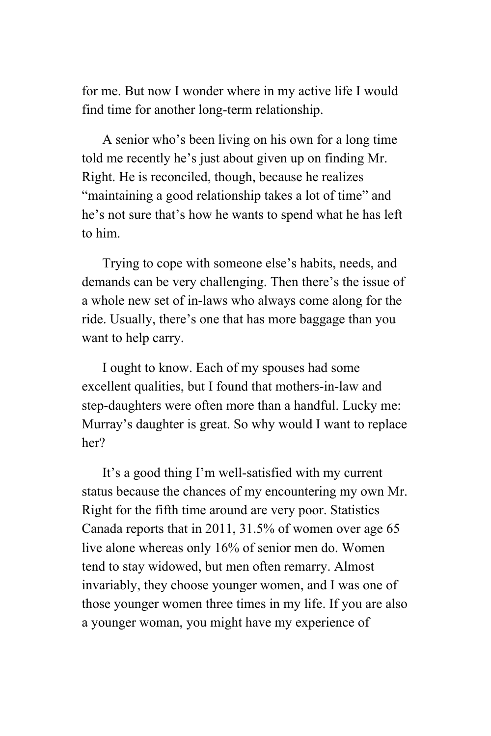for me. But now I wonder where in my active life I would find time for another long-term relationship.

A senior who's been living on his own for a long time told me recently he's just about given up on finding Mr. Right. He is reconciled, though, because he realizes "maintaining a good relationship takes a lot of time" and he's not sure that's how he wants to spend what he has left to him.

Trying to cope with someone else's habits, needs, and demands can be very challenging. Then there's the issue of a whole new set of in-laws who always come along for the ride. Usually, there's one that has more baggage than you want to help carry.

I ought to know. Each of my spouses had some excellent qualities, but I found that mothers-in-law and step-daughters were often more than a handful. Lucky me: Murray's daughter is great. So why would I want to replace her?

It's a good thing I'm well-satisfied with my current status because the chances of my encountering my own Mr. Right for the fifth time around are very poor. Statistics Canada reports that in 2011, 31.5% of women over age 65 live alone whereas only 16% of senior men do. Women tend to stay widowed, but men often remarry. Almost invariably, they choose younger women, and I was one of those younger women three times in my life. If you are also a younger woman, you might have my experience of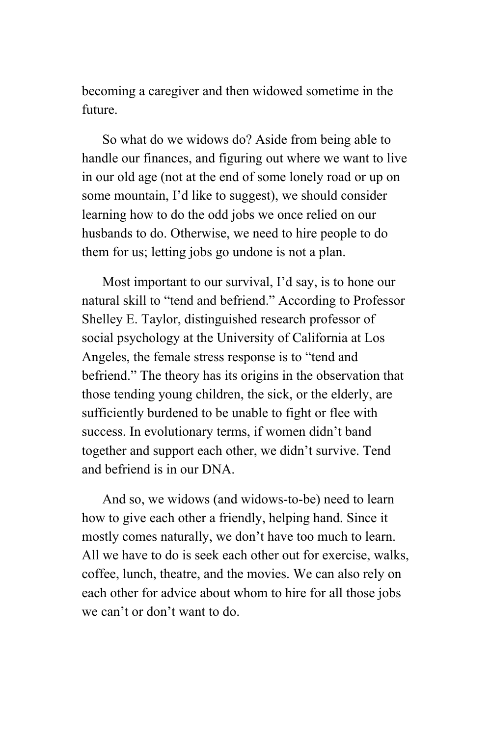becoming a caregiver and then widowed sometime in the future.

So what do we widows do? Aside from being able to handle our finances, and figuring out where we want to live in our old age (not at the end of some lonely road or up on some mountain, I'd like to suggest), we should consider learning how to do the odd jobs we once relied on our husbands to do. Otherwise, we need to hire people to do them for us; letting jobs go undone is not a plan.

Most important to our survival, I'd say, is to hone our natural skill to "tend and befriend." According to Professor Shelley E. Taylor, distinguished research professor of social psychology at the University of California at Los Angeles, the female stress response is to "tend and befriend." The theory has its origins in the observation that those tending young children, the sick, or the elderly, are sufficiently burdened to be unable to fight or flee with success. In evolutionary terms, if women didn't band together and support each other, we didn't survive. Tend and befriend is in our DNA.

And so, we widows (and widows-to-be) need to learn how to give each other a friendly, helping hand. Since it mostly comes naturally, we don't have too much to learn. All we have to do is seek each other out for exercise, walks, coffee, lunch, theatre, and the movies. We can also rely on each other for advice about whom to hire for all those jobs we can't or don't want to do.